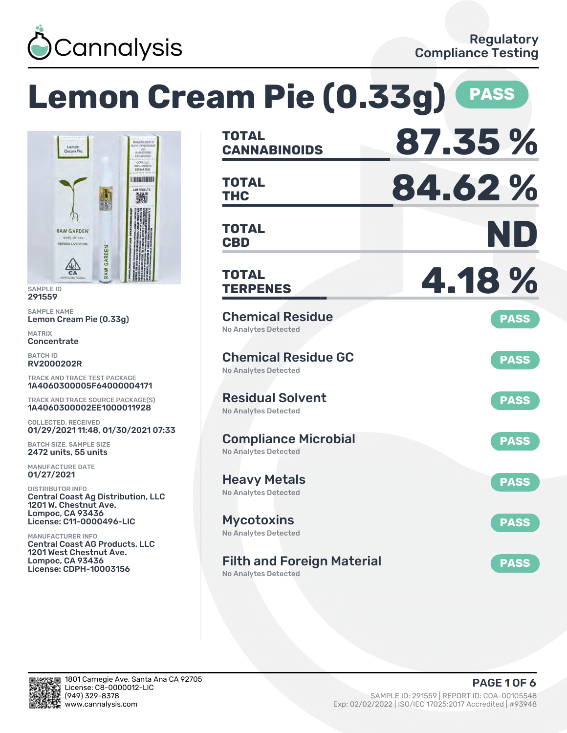

#### **Lemon Cream Pie (0.33g) PASS CANNABINOIDS 87.35 % TOTAL** CCAP LLC **THC 84.62 % DO DO DO MARZO TOTAL** 撇 **CBD ND TOTAL RAW GARDEN** eady-to REFINED LIVE RESIL GARDEN **TERPENES 4.18 % TOTAL** SAMPLE NAME Chemical Residue **PASS** Lemon Cream Pie (0.33g) No Analytes Detected **Concentrate** Chemical Residue GC **PASS** RV2000202R No Analytes Detected TRACK AND TRACE TEST PACKAGE 1A4060300005F64000004171 Residual Solvent TRACK AND TRACE SOURCE PACKAGE(S) **PASS** 1A4060300002EE1000011928 No Analytes Detected COLLECTED, RECEIVED 01/29/2021 11:48, 01/30/2021 07:33 Compliance Microbial **PASS** BATCH SIZE, SAMPLE SIZE 2472 units, 55 units No Analytes Detected MANUFACTURE DATE 01/27/2021 Heavy Metals **PASS** DISTRIBUTOR INFO No Analytes Detected Central Coast Ag Distribution, LLC 1201 W. Chestnut Ave. Lompoc, CA 93436 License: C11-0000496-LIC Mycotoxins **PASS** No Analytes Detected MANUFACTURER INFO Central Coast AG Products, LLC 1201 West Chestnut Ave. Lompoc, CA 93436 Filth and Foreign Material **PASS** License: CDPH-10003156 No Analytes Detected



SAMPLE ID 291559

MATRIX

BATCH ID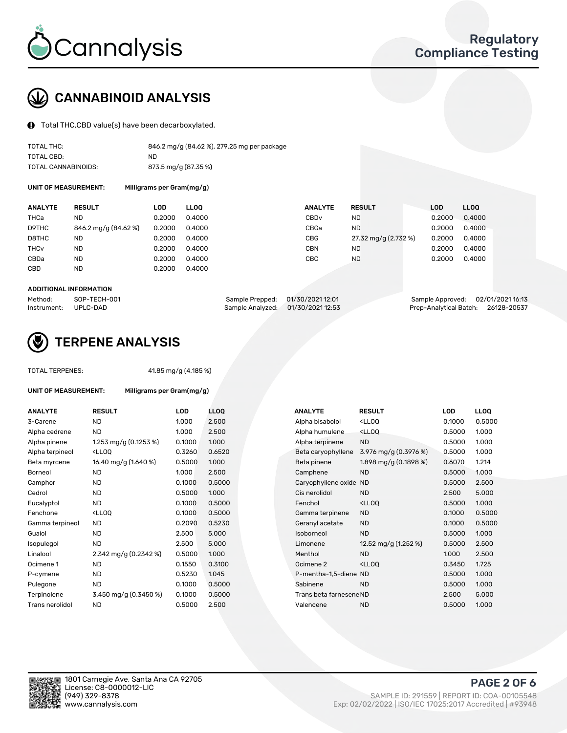

# CANNABINOID ANALYSIS

Total THC,CBD value(s) have been decarboxylated.

| TOTAL THC:          | 846.2 mg/g (84.62 %), 279.25 mg per package |
|---------------------|---------------------------------------------|
| TOTAL CBD:          | ND                                          |
| TOTAL CANNABINOIDS: | 873.5 mg/g (87.35 %)                        |

UNIT OF MEASUREMENT: Milligrams per Gram(mg/g)

| <b>ANALYTE</b>         | <b>RESULT</b>        | LOD    | <b>LLOO</b> | <b>ANALYTE</b>   | <b>RESULT</b>        | LOD    | LL <sub>00</sub> |
|------------------------|----------------------|--------|-------------|------------------|----------------------|--------|------------------|
| THCa                   | ND                   | 0.2000 | 0.4000      | CBD <sub>v</sub> | ND.                  | 0.2000 | 0.4000           |
| D9THC                  | 846.2 mg/g (84.62 %) | 0.2000 | 0.4000      | CBGa             | <b>ND</b>            | 0.2000 | 0.4000           |
| D8THC                  | ND                   | 0.2000 | 0.4000      | <b>CBG</b>       | 27.32 mg/g (2.732 %) | 0.2000 | 0.4000           |
| <b>THC<sub>v</sub></b> | ND                   | 0.2000 | 0.4000      | <b>CBN</b>       | ND                   | 0.2000 | 0.4000           |
| CBDa                   | <b>ND</b>            | 0.2000 | 0.4000      | CBC              | <b>ND</b>            | 0.2000 | 0.4000           |
| CBD                    | ND                   | 0.2000 | 0.4000      |                  |                      |        |                  |
|                        |                      |        |             |                  |                      |        |                  |

#### ADDITIONAL INFORMATION

| Method:              | SOP-TECH-001 | Sample Prepped: 01/30/2021 12:01  | Sample Approved: 02/01/2021 16:13  |  |
|----------------------|--------------|-----------------------------------|------------------------------------|--|
| Instrument: UPLC-DAD |              | Sample Analyzed: 01/30/2021 12:53 | Prep-Analytical Batch: 26128-20537 |  |



## TERPENE ANALYSIS

UNIT OF MEASUREMENT: Milligrams per Gram(mg/g)

| TUTAL TERPENES: |  |
|-----------------|--|
|                 |  |

TOTAL TERPENES: 41.85 mg/g (4.185 %)

| <b>ANALYTE</b>  | <b>RESULT</b>                                                                                                                                          | <b>LOD</b> | <b>LLOQ</b> | <b>ANALYTE</b>          | <b>RESULT</b>                                       | <b>LOD</b> | <b>LLOQ</b> |
|-----------------|--------------------------------------------------------------------------------------------------------------------------------------------------------|------------|-------------|-------------------------|-----------------------------------------------------|------------|-------------|
| 3-Carene        | <b>ND</b>                                                                                                                                              | 1.000      | 2.500       | Alpha bisabolol         | <ll0q< td=""><td>0.1000</td><td>0.5000</td></ll0q<> | 0.1000     | 0.5000      |
| Alpha cedrene   | ND.                                                                                                                                                    | 1.000      | 2.500       | Alpha humulene          | <lloq< td=""><td>0.5000</td><td>1.000</td></lloq<>  | 0.5000     | 1.000       |
| Alpha pinene    | 1.253 mg/g $(0.1253\%)$                                                                                                                                | 0.1000     | 1.000       | Alpha terpinene         | <b>ND</b>                                           | 0.5000     | 1.000       |
| Alpha terpineol | <lloq< td=""><td>0.3260</td><td>0.6520</td><td>Beta caryophyllene</td><td>3.976 mg/g <math>(0.3976\%)</math></td><td>0.5000</td><td>1.000</td></lloq<> | 0.3260     | 0.6520      | Beta caryophyllene      | 3.976 mg/g $(0.3976\%)$                             | 0.5000     | 1.000       |
| Beta myrcene    | 16.40 mg/g (1.640 %)                                                                                                                                   | 0.5000     | 1.000       | Beta pinene             | 1.898 mg/g $(0.1898%)$                              | 0.6070     | 1.214       |
| Borneol         | <b>ND</b>                                                                                                                                              | 1.000      | 2.500       | Camphene                | <b>ND</b>                                           | 0.5000     | 1.000       |
| Camphor         | <b>ND</b>                                                                                                                                              | 0.1000     | 0.5000      | Caryophyllene oxide ND  |                                                     | 0.5000     | 2.500       |
| Cedrol          | <b>ND</b>                                                                                                                                              | 0.5000     | 1.000       | Cis nerolidol           | <b>ND</b>                                           | 2.500      | 5.000       |
| Eucalyptol      | <b>ND</b>                                                                                                                                              | 0.1000     | 0.5000      | Fenchol                 | <lloq< td=""><td>0.5000</td><td>1.000</td></lloq<>  | 0.5000     | 1.000       |
| Fenchone        | <lloq< td=""><td>0.1000</td><td>0.5000</td><td>Gamma terpinene</td><td><b>ND</b></td><td>0.1000</td><td>0.5000</td></lloq<>                            | 0.1000     | 0.5000      | Gamma terpinene         | <b>ND</b>                                           | 0.1000     | 0.5000      |
| Gamma terpineol | ND.                                                                                                                                                    | 0.2090     | 0.5230      | Geranyl acetate         | <b>ND</b>                                           | 0.1000     | 0.5000      |
| Guaiol          | <b>ND</b>                                                                                                                                              | 2.500      | 5.000       | Isoborneol              | <b>ND</b>                                           | 0.5000     | 1.000       |
| Isopulegol      | <b>ND</b>                                                                                                                                              | 2.500      | 5.000       | Limonene                | 12.52 mg/g (1.252 %)                                | 0.5000     | 2.500       |
| Linalool        | 2.342 mg/g (0.2342 %)                                                                                                                                  | 0.5000     | 1.000       | Menthol                 | <b>ND</b>                                           | 1.000      | 2.500       |
| Ocimene 1       | <b>ND</b>                                                                                                                                              | 0.1550     | 0.3100      | Ocimene 2               | $<$ LLOO                                            | 0.3450     | 1.725       |
| P-cymene        | <b>ND</b>                                                                                                                                              | 0.5230     | 1.045       | P-mentha-1,5-diene ND   |                                                     | 0.5000     | 1.000       |
| Pulegone        | <b>ND</b>                                                                                                                                              | 0.1000     | 0.5000      | Sabinene                | <b>ND</b>                                           | 0.5000     | 1.000       |
| Terpinolene     | 3.450 mg/g (0.3450 %)                                                                                                                                  | 0.1000     | 0.5000      | Trans beta farnesene ND |                                                     | 2.500      | 5.000       |
| Trans nerolidol | <b>ND</b>                                                                                                                                              | 0.5000     | 2.500       | Valencene               | <b>ND</b>                                           | 0.5000     | 1.000       |

| ANALYTF                 | <b>RESULT</b>                                       | LOD    | LLOO   |
|-------------------------|-----------------------------------------------------|--------|--------|
| Alpha bisabolol         | <lloq< td=""><td>0.1000</td><td>0.5000</td></lloq<> | 0.1000 | 0.5000 |
| Alpha humulene          | <lloq< td=""><td>0.5000</td><td>1.000</td></lloq<>  | 0.5000 | 1.000  |
| Alpha terpinene         | <b>ND</b>                                           | 0.5000 | 1.000  |
| Beta caryophyllene      | 3.976 mg/g (0.3976 %)                               | 0.5000 | 1.000  |
| Beta pinene             | 1.898 mg/g (0.1898 %)                               | 0.6070 | 1.214  |
| Camphene                | <b>ND</b>                                           | 0.5000 | 1.000  |
| Caryophyllene oxide     | <b>ND</b>                                           | 0.5000 | 2.500  |
| Cis nerolidol           | <b>ND</b>                                           | 2.500  | 5.000  |
| Fenchol                 | <lloo< td=""><td>0.5000</td><td>1.000</td></lloo<>  | 0.5000 | 1.000  |
| Gamma terpinene         | <b>ND</b>                                           | 0.1000 | 0.5000 |
| Geranyl acetate         | <b>ND</b>                                           | 0.1000 | 0.5000 |
| Isoborneol              | <b>ND</b>                                           | 0.5000 | 1.000  |
| Limonene                | 12.52 mg/g (1.252 %)                                | 0.5000 | 2.500  |
| Menthol                 | <b>ND</b>                                           | 1.000  | 2.500  |
| Ocimene <sub>2</sub>    | <lloo< td=""><td>0.3450</td><td>1.725</td></lloo<>  | 0.3450 | 1.725  |
| P-mentha-1,5-diene ND   |                                                     | 0.5000 | 1.000  |
| Sabinene                | ND.                                                 | 0.5000 | 1.000  |
| Trans beta farnesene ND |                                                     | 2.500  | 5.000  |
| Valencene               | ND                                                  | 0.5000 | 1.000  |
|                         |                                                     |        |        |

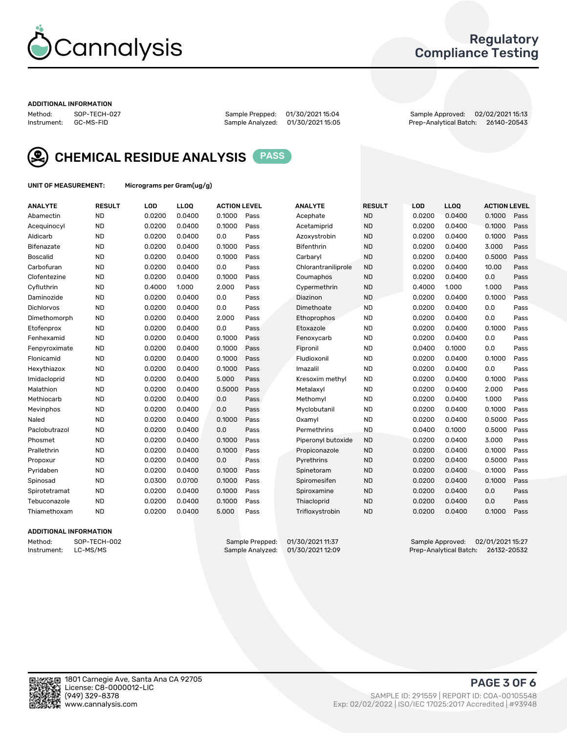

## Regulatory Compliance Testing

#### ADDITIONAL INFORMATION

Method: SOP-TECH-027 Sample Prepped: 01/30/2021 15:04 Sample Approved: 02/02/2021 15:13 Prep-Analytical Batch: 26140-20543



CHEMICAL RESIDUE ANALYSIS PASS

UNIT OF MEASUREMENT: Micrograms per Gram(ug/g)

| <b>ANALYTE</b>    | <b>RESULT</b> | LOD    | LL <sub>OO</sub> | <b>ACTION LEVEL</b> |      | <b>ANALYTE</b>      | <b>RESULT</b> | LOD    | <b>LLOQ</b> | <b>ACTION LEVEL</b> |      |
|-------------------|---------------|--------|------------------|---------------------|------|---------------------|---------------|--------|-------------|---------------------|------|
| Abamectin         | <b>ND</b>     | 0.0200 | 0.0400           | 0.1000              | Pass | Acephate            | <b>ND</b>     | 0.0200 | 0.0400      | 0.1000              | Pass |
| Acequinocyl       | <b>ND</b>     | 0.0200 | 0.0400           | 0.1000              | Pass | Acetamiprid         | <b>ND</b>     | 0.0200 | 0.0400      | 0.1000              | Pass |
| Aldicarb          | <b>ND</b>     | 0.0200 | 0.0400           | 0.0                 | Pass | Azoxystrobin        | <b>ND</b>     | 0.0200 | 0.0400      | 0.1000              | Pass |
| Bifenazate        | <b>ND</b>     | 0.0200 | 0.0400           | 0.1000              | Pass | <b>Bifenthrin</b>   | <b>ND</b>     | 0.0200 | 0.0400      | 3.000               | Pass |
| <b>Boscalid</b>   | <b>ND</b>     | 0.0200 | 0.0400           | 0.1000              | Pass | Carbaryl            | <b>ND</b>     | 0.0200 | 0.0400      | 0.5000              | Pass |
| Carbofuran        | <b>ND</b>     | 0.0200 | 0.0400           | 0.0                 | Pass | Chlorantraniliprole | <b>ND</b>     | 0.0200 | 0.0400      | 10.00               | Pass |
| Clofentezine      | <b>ND</b>     | 0.0200 | 0.0400           | 0.1000              | Pass | Coumaphos           | <b>ND</b>     | 0.0200 | 0.0400      | 0.0                 | Pass |
| Cyfluthrin        | <b>ND</b>     | 0.4000 | 1.000            | 2.000               | Pass | Cypermethrin        | <b>ND</b>     | 0.4000 | 1.000       | 1.000               | Pass |
| Daminozide        | <b>ND</b>     | 0.0200 | 0.0400           | 0.0                 | Pass | Diazinon            | <b>ND</b>     | 0.0200 | 0.0400      | 0.1000              | Pass |
| <b>Dichlorvos</b> | <b>ND</b>     | 0.0200 | 0.0400           | 0.0                 | Pass | Dimethoate          | <b>ND</b>     | 0.0200 | 0.0400      | 0.0                 | Pass |
| Dimethomorph      | <b>ND</b>     | 0.0200 | 0.0400           | 2.000               | Pass | <b>Ethoprophos</b>  | <b>ND</b>     | 0.0200 | 0.0400      | 0.0                 | Pass |
| Etofenprox        | <b>ND</b>     | 0.0200 | 0.0400           | 0.0                 | Pass | Etoxazole           | <b>ND</b>     | 0.0200 | 0.0400      | 0.1000              | Pass |
| Fenhexamid        | <b>ND</b>     | 0.0200 | 0.0400           | 0.1000              | Pass | Fenoxycarb          | <b>ND</b>     | 0.0200 | 0.0400      | 0.0                 | Pass |
| Fenpyroximate     | <b>ND</b>     | 0.0200 | 0.0400           | 0.1000              | Pass | Fipronil            | <b>ND</b>     | 0.0400 | 0.1000      | 0.0                 | Pass |
| Flonicamid        | <b>ND</b>     | 0.0200 | 0.0400           | 0.1000              | Pass | Fludioxonil         | <b>ND</b>     | 0.0200 | 0.0400      | 0.1000              | Pass |
| Hexythiazox       | <b>ND</b>     | 0.0200 | 0.0400           | 0.1000              | Pass | Imazalil            | <b>ND</b>     | 0.0200 | 0.0400      | 0.0                 | Pass |
| Imidacloprid      | <b>ND</b>     | 0.0200 | 0.0400           | 5.000               | Pass | Kresoxim methyl     | <b>ND</b>     | 0.0200 | 0.0400      | 0.1000              | Pass |
| Malathion         | <b>ND</b>     | 0.0200 | 0.0400           | 0.5000              | Pass | Metalaxyl           | <b>ND</b>     | 0.0200 | 0.0400      | 2.000               | Pass |
| Methiocarb        | <b>ND</b>     | 0.0200 | 0.0400           | 0.0                 | Pass | Methomyl            | <b>ND</b>     | 0.0200 | 0.0400      | 1.000               | Pass |
| Mevinphos         | <b>ND</b>     | 0.0200 | 0.0400           | 0.0                 | Pass | Myclobutanil        | <b>ND</b>     | 0.0200 | 0.0400      | 0.1000              | Pass |
| Naled             | <b>ND</b>     | 0.0200 | 0.0400           | 0.1000              | Pass | Oxamyl              | <b>ND</b>     | 0.0200 | 0.0400      | 0.5000              | Pass |
| Paclobutrazol     | <b>ND</b>     | 0.0200 | 0.0400           | 0.0                 | Pass | Permethrins         | <b>ND</b>     | 0.0400 | 0.1000      | 0.5000              | Pass |
| Phosmet           | <b>ND</b>     | 0.0200 | 0.0400           | 0.1000              | Pass | Piperonyl butoxide  | <b>ND</b>     | 0.0200 | 0.0400      | 3.000               | Pass |
| Prallethrin       | <b>ND</b>     | 0.0200 | 0.0400           | 0.1000              | Pass | Propiconazole       | <b>ND</b>     | 0.0200 | 0.0400      | 0.1000              | Pass |
| Propoxur          | <b>ND</b>     | 0.0200 | 0.0400           | 0.0                 | Pass | Pyrethrins          | <b>ND</b>     | 0.0200 | 0.0400      | 0.5000              | Pass |
| Pyridaben         | <b>ND</b>     | 0.0200 | 0.0400           | 0.1000              | Pass | Spinetoram          | <b>ND</b>     | 0.0200 | 0.0400      | 0.1000              | Pass |
| Spinosad          | <b>ND</b>     | 0.0300 | 0.0700           | 0.1000              | Pass | Spiromesifen        | <b>ND</b>     | 0.0200 | 0.0400      | 0.1000              | Pass |
| Spirotetramat     | <b>ND</b>     | 0.0200 | 0.0400           | 0.1000              | Pass | Spiroxamine         | <b>ND</b>     | 0.0200 | 0.0400      | 0.0                 | Pass |
| Tebuconazole      | <b>ND</b>     | 0.0200 | 0.0400           | 0.1000              | Pass | Thiacloprid         | <b>ND</b>     | 0.0200 | 0.0400      | 0.0                 | Pass |
| Thiamethoxam      | <b>ND</b>     | 0.0200 | 0.0400           | 5.000               | Pass | Trifloxystrobin     | <b>ND</b>     | 0.0200 | 0.0400      | 0.1000              | Pass |

### ADDITIONAL INFORMATION

Method: SOP-TECH-002 Sample Prepped: 01/30/2021 11:37 Sample Approved: 02/01/2021 15:27<br>Instrument: LC-MS/MS Sample Analyzed: 01/30/2021 12:09 Prep-Analytical Batch: 26132-20532 Prep-Analytical Batch: 26132-20532

PAGE 3 OF 6

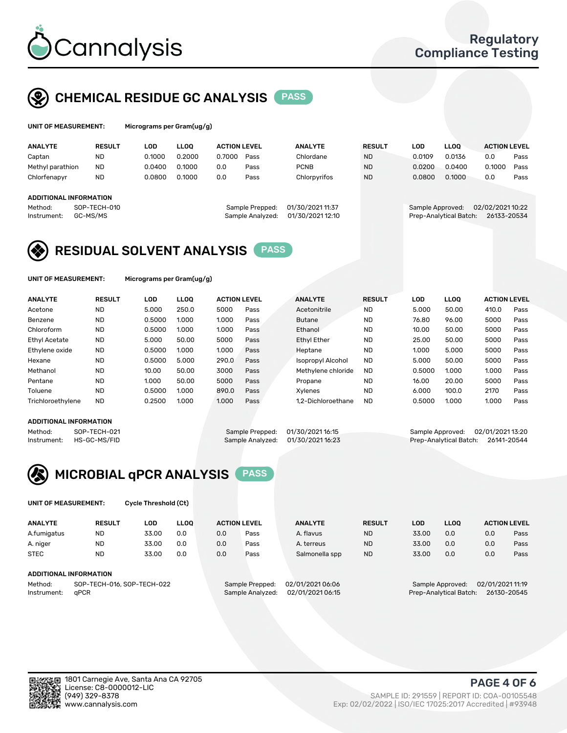

## CHEMICAL RESIDUE GC ANALYSIS PASS

| UNIT OF MEASUREMENT:   |               | Micrograms per Gram(ug/g) |             |                     |                 |                  |               |                  |             |                     |      |
|------------------------|---------------|---------------------------|-------------|---------------------|-----------------|------------------|---------------|------------------|-------------|---------------------|------|
| <b>ANALYTE</b>         | <b>RESULT</b> | LOD                       | <b>LLOO</b> | <b>ACTION LEVEL</b> |                 | <b>ANALYTE</b>   | <b>RESULT</b> | LOD              | <b>LLOO</b> | <b>ACTION LEVEL</b> |      |
| Captan                 | <b>ND</b>     | 0.1000                    | 0.2000      | 0.7000              | Pass            | Chlordane        | <b>ND</b>     | 0.0109           | 0.0136      | 0.0                 | Pass |
| Methyl parathion       | <b>ND</b>     | 0.0400                    | 0.1000      | 0.0                 | Pass            | <b>PCNB</b>      | <b>ND</b>     | 0.0200           | 0.0400      | 0.1000              | Pass |
| Chlorfenapyr           | <b>ND</b>     | 0.0800                    | 0.1000      | 0.0                 | Pass            | Chlorpyrifos     | <b>ND</b>     | 0.0800           | 0.1000      | 0.0                 | Pass |
| ADDITIONAL INFORMATION |               |                           |             |                     |                 |                  |               |                  |             |                     |      |
| Method <sup>.</sup>    | SOP-TECH-010  |                           |             |                     | Sample Prenned: | 01/30/2021 11:37 |               | Sample Approved: |             | 02/02/202110.22     |      |

ample Approved: 02/02/2021 10:22 Instrument: GC-MS/MS Sample Analyzed: 01/30/2021 12:10 Prep-Analytical Batch: 26133-20534

# RESIDUAL SOLVENT ANALYSIS PASS

UNIT OF MEASUREMENT: Micrograms per Gram(ug/g)

| <b>ANALYTE</b>       | <b>RESULT</b> | <b>LOD</b> | <b>LLOO</b> | <b>ACTION LEVEL</b> |      | <b>ANALYTE</b>           | <b>RESULT</b> | <b>LOD</b> | <b>LLOO</b> | <b>ACTION LEVEL</b> |      |
|----------------------|---------------|------------|-------------|---------------------|------|--------------------------|---------------|------------|-------------|---------------------|------|
| Acetone              | <b>ND</b>     | 5.000      | 250.0       | 5000                | Pass | Acetonitrile             | <b>ND</b>     | 5.000      | 50.00       | 410.0               | Pass |
| Benzene              | <b>ND</b>     | 0.5000     | 1.000       | 1.000               | Pass | <b>Butane</b>            | <b>ND</b>     | 76.80      | 96.00       | 5000                | Pass |
| Chloroform           | <b>ND</b>     | 0.5000     | 1.000       | 1.000               | Pass | Ethanol                  | <b>ND</b>     | 10.00      | 50.00       | 5000                | Pass |
| <b>Ethyl Acetate</b> | <b>ND</b>     | 5.000      | 50.00       | 5000                | Pass | <b>Ethyl Ether</b>       | <b>ND</b>     | 25.00      | 50.00       | 5000                | Pass |
| Ethylene oxide       | <b>ND</b>     | 0.5000     | 1.000       | 1.000               | Pass | Heptane                  | <b>ND</b>     | 1.000      | 5.000       | 5000                | Pass |
| Hexane               | <b>ND</b>     | 0.5000     | 5.000       | 290.0               | Pass | <b>Isopropyl Alcohol</b> | <b>ND</b>     | 5.000      | 50.00       | 5000                | Pass |
| Methanol             | <b>ND</b>     | 10.00      | 50.00       | 3000                | Pass | Methylene chloride       | <b>ND</b>     | 0.5000     | 1.000       | 1.000               | Pass |
| Pentane              | <b>ND</b>     | 1.000      | 50.00       | 5000                | Pass | Propane                  | <b>ND</b>     | 16.00      | 20.00       | 5000                | Pass |
| Toluene              | <b>ND</b>     | 0.5000     | 1.000       | 890.0               | Pass | Xylenes                  | <b>ND</b>     | 6.000      | 100.0       | 2170                | Pass |
| Trichloroethylene    | <b>ND</b>     | 0.2500     | 1.000       | 1.000               | Pass | 1.2-Dichloroethane       | <b>ND</b>     | 0.5000     | 1.000       | 1.000               | Pass |
|                      |               |            |             |                     |      |                          |               |            |             |                     |      |

### ADDITIONAL INFORMATION

Method: SOP-TECH-021 Sample Prepped: 01/30/2021 16:15 Sample Approved: 02/01/2021 13:20<br>Sample Analyzed: 01/30/2021 16:23 Prep-Analytical Batch: 26141-20544 Prep-Analytical Batch: 26141-20544



UNIT OF MEASUREMENT: Cycle Threshold (Ct)

| <b>ANALYTE</b>         | <b>RESULT</b>                   | LOD   | <b>LLOO</b> | <b>ACTION LEVEL</b>         |               | <b>ANALYTE</b> | <b>RESULT</b> | <b>LOD</b> | <b>LLOO</b>   |     | <b>ACTION LEVEL</b> |
|------------------------|---------------------------------|-------|-------------|-----------------------------|---------------|----------------|---------------|------------|---------------|-----|---------------------|
| A.fumigatus            | <b>ND</b>                       | 33.00 | 0.0         | 0.0                         | Pass          | A. flavus      | <b>ND</b>     | 33.00      | 0.0           | 0.0 | Pass                |
| A. niger               | <b>ND</b>                       | 33.00 | 0.0         | 0.0                         | Pass          | A. terreus     | <b>ND</b>     | 33.00      | 0.0           | 0.0 | Pass                |
| <b>STEC</b>            | <b>ND</b>                       | 33.00 | 0.0         | 0.0                         | Pass          | Salmonella spp | <b>ND</b>     | 33.00      | 0.0           | 0.0 | Pass                |
| ADDITIONAL INFORMATION |                                 |       |             |                             |               |                |               |            |               |     |                     |
| .                      | $0.005$ TEQUI 04/ 00D TEQUI 000 |       |             | $\sim$ $\sim$ $\sim$ $\sim$ | 0010100010101 |                |               |            | 00/0100004440 |     |                     |

Method: SOP-TECH-016, SOP-TECH-022 Sample Prepped: 02/01/2021 06:06 Sample Approved: 02/01/2021 11:19 Instrument: qPCR Sample Analyzed: 02/01/2021 06:15 Prep-Analytical Batch: 26130-20545

PAGE 4 OF 6

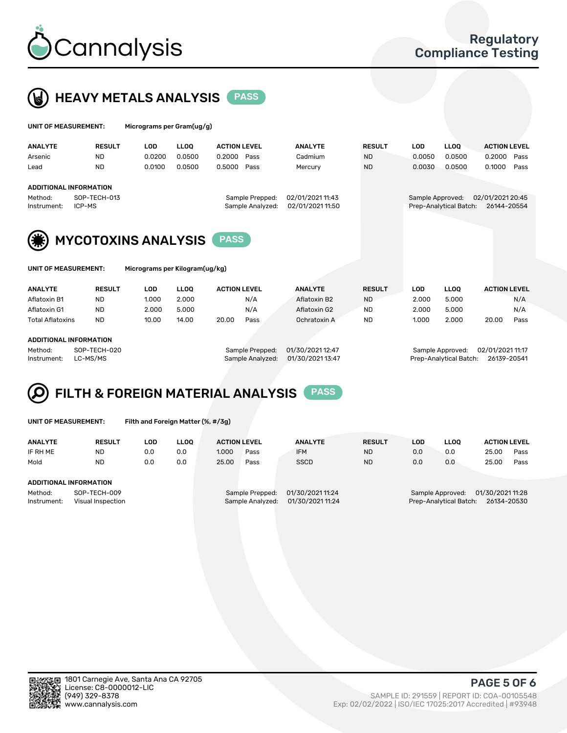



| UNIT OF MEASUREMENT:   |                            | Micrograms per Gram(ug/g) |             |                     |                                     |                                      |               |                  |                        |                                 |      |
|------------------------|----------------------------|---------------------------|-------------|---------------------|-------------------------------------|--------------------------------------|---------------|------------------|------------------------|---------------------------------|------|
| <b>ANALYTE</b>         | <b>RESULT</b>              | <b>LOD</b>                | <b>LLOO</b> | <b>ACTION LEVEL</b> |                                     | <b>ANALYTE</b>                       | <b>RESULT</b> | <b>LOD</b>       | <b>LLOO</b>            | <b>ACTION LEVEL</b>             |      |
| Arsenic                | <b>ND</b>                  | 0.0200                    | 0.0500      | 0.2000              | Pass                                | Cadmium                              | <b>ND</b>     | 0.0050           | 0.0500                 | 0.2000                          | Pass |
| Lead                   | <b>ND</b>                  | 0.0100                    | 0.0500      | 0.5000              | Pass                                | Mercury                              | <b>ND</b>     | 0.0030           | 0.0500                 | 0.1000                          | Pass |
|                        | ADDITIONAL INFORMATION     |                           |             |                     |                                     |                                      |               |                  |                        |                                 |      |
| Method:<br>Instrument: | SOP-TECH-013<br>ICP-MS     |                           |             |                     | Sample Prepped:<br>Sample Analyzed: | 02/01/2021 11:43<br>02/01/2021 11:50 |               | Sample Approved: | Prep-Analytical Batch: | 02/01/2021 20:45<br>26144-20554 |      |
| (*)                    | <b>MYCOTOXINS ANALYSIS</b> |                           |             | <b>PASS</b>         |                                     |                                      |               |                  |                        |                                 |      |



UNIT OF MEASUREMENT: Micrograms per Kilogram(ug/kg)

| <b>ANALYTE</b>                  | <b>RESULT</b> | LOD   | <b>LLOO</b> | <b>ACTION LEVEL</b> |      | <b>ANALYTE</b> | <b>RESULT</b> | LOD   | <b>LLOO</b> | <b>ACTION LEVEL</b> |      |
|---------------------------------|---------------|-------|-------------|---------------------|------|----------------|---------------|-------|-------------|---------------------|------|
| Aflatoxin B1                    | <b>ND</b>     | 1.000 | 2.000       |                     | N/A  | Aflatoxin B2   | <b>ND</b>     | 2.000 | 5.000       |                     | N/A  |
| Aflatoxin G1                    | <b>ND</b>     | 2.000 | 5.000       |                     | N/A  | Aflatoxin G2   | <b>ND</b>     | 2.000 | 5.000       |                     | N/A  |
| Total Aflatoxins                | <b>ND</b>     | 10.00 | 14.00       | 20.00               | Pass | Ochratoxin A   | <b>ND</b>     | 1.000 | 2.000       | 20.00               | Pass |
|                                 |               |       |             |                     |      |                |               |       |             |                     |      |
| 1.5.5171.011.111.07.011.071.011 |               |       |             |                     |      |                |               |       |             |                     |      |

### ADDITIONAL INFORMATION

Method: SOP-TECH-020 Sample Prepped: 01/30/2021 12:47 Sample Approved: 02/01/2021 11:17 Instrument: LC-MS/MS Sample Analyzed: 01/30/2021 13:47 Prep-Analytical Batch: 26139-20541



|  | UNIT OF MEASUREMENT: |  |
|--|----------------------|--|
|  |                      |  |

Filth and Foreign Matter (%, #/3g)

| <b>ANALYTE</b>                                              | <b>RESULT</b> | LOD | <b>LLOO</b>                                                                 | <b>ACTION LEVEL</b> |      | <b>ANALYTE</b>                                                               | <b>RESULT</b> | LOD | LLOO | <b>ACTION LEVEL</b> |      |
|-------------------------------------------------------------|---------------|-----|-----------------------------------------------------------------------------|---------------------|------|------------------------------------------------------------------------------|---------------|-----|------|---------------------|------|
| IF RH ME                                                    | <b>ND</b>     | 0.0 | 0.0                                                                         | 1.000               | Pass | <b>IFM</b>                                                                   | <b>ND</b>     | 0.0 | 0.0  | 25.00               | Pass |
| Mold                                                        | <b>ND</b>     | 0.0 | 0.0                                                                         | 25.00               | Pass | <b>SSCD</b>                                                                  | <b>ND</b>     | 0.0 | 0.0  | 25.00               | Pass |
| ADDITIONAL INFORMATION                                      |               |     |                                                                             |                     |      |                                                                              |               |     |      |                     |      |
| Method:<br>SOP-TECH-009<br>Instrument:<br>Visual Inspection |               |     | 01/30/2021 11:24<br>Sample Prepped:<br>01/30/2021 11:24<br>Sample Analyzed: |                     |      | 01/30/202111:28<br>Sample Approved:<br>Prep-Analytical Batch:<br>26134-20530 |               |     |      |                     |      |



PAGE 5 OF 6